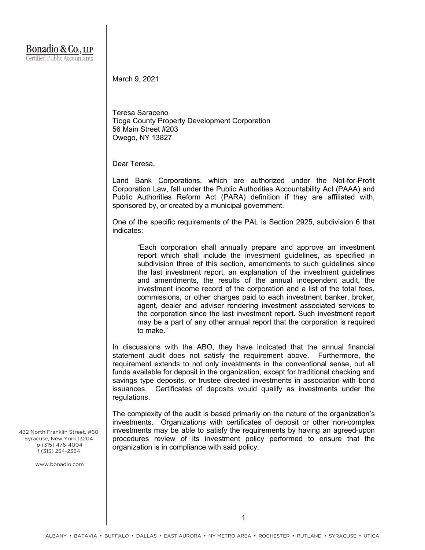March 9, 2021

Teresa Saraceno Tioga County Property Development Corporation 56 Main Street #203 Owego, NY 13827

Dear Teresa,

Land Bank Corporations, which are authorized under the Not-for-Profit Corporation Law, fall under the Public Authorities Accountability Act (PAAA) and Public Authorities Reform Act (PARA) definition if they are affiliated with, sponsored by, or created by a municipal government.

One of the specific requirements of the PAL is Section 2925, subdivision 6 that indicates:

"Each corporation shall annually prepare and approve an investment report which shall include the investment guidelines, as specified in subdivision three of this section, amendments to such guidelines since the last investment report, an explanation of the investment guidelines and amendments, the results of the annual independent audit, the investment income record of the corporation and a list of the total fees, commissions, or other charges paid to each investment banker, broker, agent, dealer and adviser rendering investment associated services to the corporation since the last investment report. Such investment report may be a part of any other annual report that the corporation is required to make."

In discussions with the ABO, they have indicated that the annual financial statement audit does not satisfy the requirement above. Furthermore, the requirement extends to not only investments in the conventional sense, but all funds available for deposit in the organization, except for traditional checking and savings type deposits, or trustee directed investments in association with bond issuances. Certificates of deposits would qualify as investments under the regulations.

The complexity of the audit is based primarily on the nature of the organization's investments. Organizations with certificates of deposit or other non-complex investments may be able to satisfy the requirements by having an agreed-upon procedures review of its investment policy performed to ensure that the organization is in compliance with said policy.

432 North Franklin Street, #60 Syracuse, New York 13204 p (315) 476-4004 f (315) 254-2384

www.bonadio.com